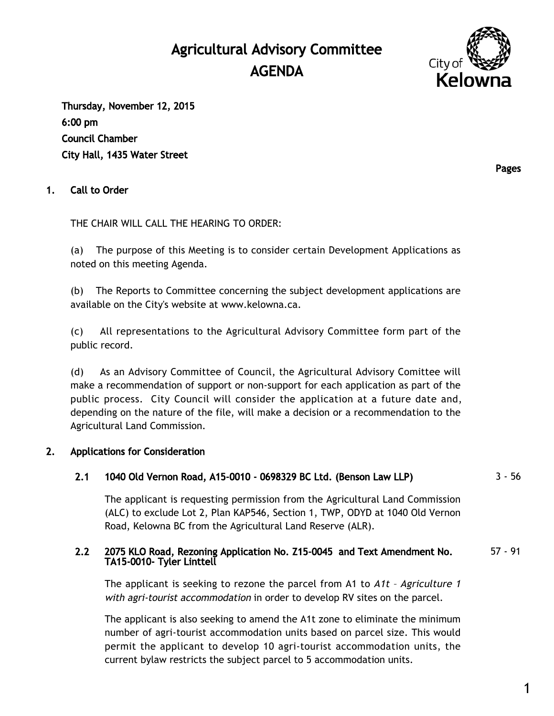# Agricultural Advisory Committee AGENDA



Thursday, November 12, 2015 6:00 pm Council Chamber City Hall, 1435 Water Street

# 1. Call to Order

THE CHAIR WILL CALL THE HEARING TO ORDER:

(a) The purpose of this Meeting is to consider certain Development Applications as noted on this meeting Agenda.

(b) The Reports to Committee concerning the subject development applications are available on the City's website at [www.kelowna.ca](http://www.kelowna.ca/).

(c) All representations to the Agricultural Advisory Committee form part of the public record.

(d) As an Advisory Committee of Council, the Agricultural Advisory Comittee will make a recommendation of support or non-support for each application as part of the public process. City Council will consider the application at a future date and, depending on the nature of the file, will make a decision or a recommendation to the Agricultural Land Commission.

#### 2. Applications for Consideration

# 2.1 1040 Old Vernon Road, A15-0010 - 0698329 BC Ltd. (Benson Law LLP) 3 - 56

The applicant is requesting permission from the Agricultural Land Commission (ALC) to exclude Lot 2, Plan KAP546, Section 1, TWP, ODYD at 1040 Old Vernon Road, Kelowna BC from the Agricultural Land Reserve (ALR).

#### 2.2 2075 KLO Road, Rezoning Application No. Z15-0045 and Text Amendment No. TA15-0010- Tyler Linttell 57 - 91

The applicant is seeking to rezone the parcel from A1 to  $Att$  - Agriculture 1 with agri-tourist accommodation in order to develop RV sites on the parcel.

The applicant is also seeking to amend the A1t zone to eliminate the minimum number of agri-tourist accommodation units based on parcel size. This would permit the applicant to develop 10 agri-tourist accommodation units, the current bylaw restricts the subject parcel to 5 accommodation units.

Pages